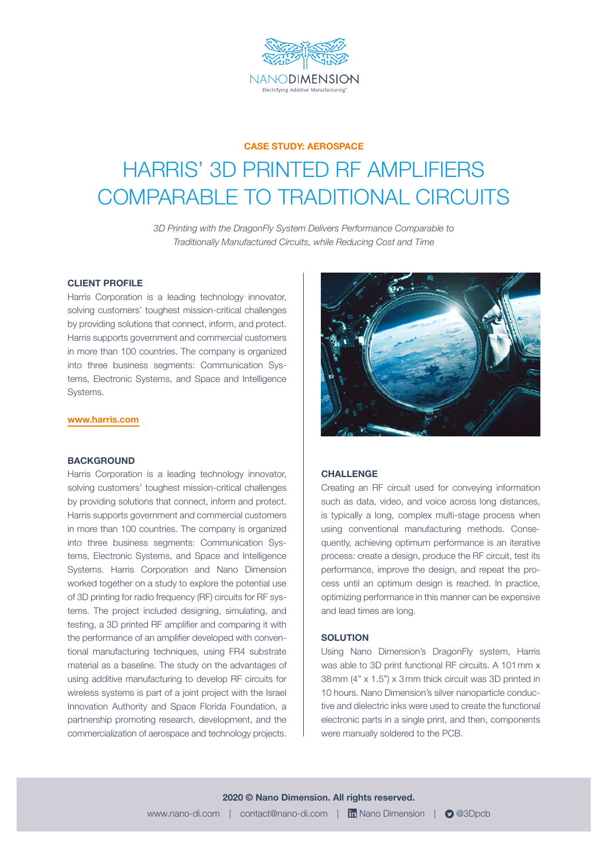

### **CASE STUDY: AEROSPACE**

# HARRIS' 3D PRINTED RF AMPLIFIERS COMPARABLE TO TRADITIONAL CIRCUITS

*3D Printing with the DragonFly System Delivers Performance Comparable to Traditionally Manufactured Circuits, while Reducing Cost and Time*

#### **CLIENT PROFILE**

Harris Corporation is a leading technology innovator, solving customers' toughest mission-critical challenges by providing solutions that connect, inform, and protect. Harris supports government and commercial customers in more than 100 countries. The company is organized into three business segments: Communication Systems, Electronic Systems, and Space and Intelligence Systems.

#### **[www.harris.com](http://www.harris.com)**

#### **BACKGROUND**

Harris Corporation is a leading technology innovator, solving customers' toughest mission-critical challenges by providing solutions that connect, inform and protect. Harris supports government and commercial customers in more than 100 countries. The company is organized into three business segments: Communication Systems, Electronic Systems, and Space and Intelligence Systems. Harris Corporation and Nano Dimension worked together on a study to explore the potential use of 3D printing for radio frequency (RF) circuits for RF systems. The project included designing, simulating, and testing, a 3D printed RF amplifier and comparing it with the performance of an amplifier developed with conventional manufacturing techniques, using FR4 substrate material as a baseline. The study on the advantages of using additive manufacturing to develop RF circuits for wireless systems is part of a joint project with the Israel Innovation Authority and Space Florida Foundation, a partnership promoting research, development, and the commercialization of aerospace and technology projects.



## **CHALLENGE**

Creating an RF circuit used for conveying information such as data, video, and voice across long distances, is typically a long, complex multi-stage process when using conventional manufacturing methods. Consequently, achieving optimum performance is an iterative process: create a design, produce the RF circuit, test its performance, improve the design, and repeat the process until an optimum design is reached. In practice, optimizing performance in this manner can be expensive and lead times are long.

#### **SOLUTION**

Using Nano Dimension's DragonFly system, Harris was able to 3D print functional RF circuits. A 101 mm x 38mm (4" x 1.5") x 3mm thick circuit was 3D printed in 10 hours. Nano Dimension's silver nanoparticle conductive and dielectric inks were used to create the functional electronic parts in a single print, and then, components were manually soldered to the PCB.